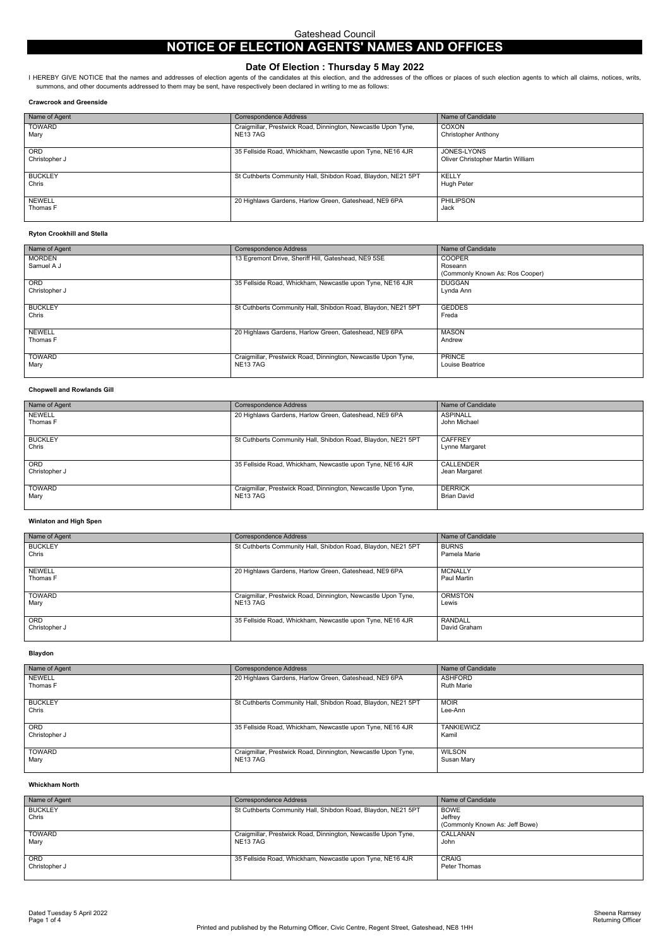# **NOTICE OF ELECTION AGENTS' NAMES AND OFFICES**

# **Date Of Election : Thursday 5 May 2022**

I HEREBY GIVE NOTICE that the names and addresses of election agents of the candidates at this election, and the addresses of the offices or places of such election agents to which all claims, notices, writs, summons, and other documents addressed to them may be sent, have respectively been declared in writing to me as follows:

#### **Crawcrook and Greenside**

| Name of Agent               | <b>Correspondence Address</b>                                                   | Name of Candidate                                |
|-----------------------------|---------------------------------------------------------------------------------|--------------------------------------------------|
| <b>TOWARD</b><br>Mary       | Craigmillar, Prestwick Road, Dinnington, Newcastle Upon Tyne,<br><b>NE137AG</b> | COXON<br>Christopher Anthony                     |
| <b>ORD</b><br>Christopher J | 35 Fellside Road, Whickham, Newcastle upon Tyne, NE16 4JR                       | JONES-LYONS<br>Oliver Christopher Martin William |
| <b>BUCKLEY</b><br>Chris     | St Cuthberts Community Hall, Shibdon Road, Blaydon, NE21 5PT                    | KELLY<br>Hugh Peter                              |
| NEWELL<br>Thomas F          | 20 Highlaws Gardens, Harlow Green, Gateshead, NE9 6PA                           | <b>PHILIPSON</b><br>Jack                         |

#### **Ryton Crookhill and Stella**

| Name of Agent               | <b>Correspondence Address</b>                                                   | Name of Candidate                                           |
|-----------------------------|---------------------------------------------------------------------------------|-------------------------------------------------------------|
| <b>MORDEN</b><br>Samuel A J | 13 Egremont Drive, Sheriff Hill, Gateshead, NE9 5SE                             | <b>COOPER</b><br>Roseann<br>(Commonly Known As: Ros Cooper) |
| <b>ORD</b><br>Christopher J | 35 Fellside Road, Whickham, Newcastle upon Tyne, NE16 4JR                       | <b>DUGGAN</b><br>Lynda Ann                                  |
| <b>BUCKLEY</b><br>Chris     | St Cuthberts Community Hall, Shibdon Road, Blaydon, NE21 5PT                    | <b>GEDDES</b><br>Freda                                      |
| <b>NEWELL</b><br>Thomas F   | 20 Highlaws Gardens, Harlow Green, Gateshead, NE9 6PA                           | <b>MASON</b><br>Andrew                                      |
| <b>TOWARD</b><br>Mary       | Craigmillar, Prestwick Road, Dinnington, Newcastle Upon Tyne,<br><b>NE137AG</b> | <b>PRINCE</b><br>Louise Beatrice                            |

## **Chopwell and Rowlands Gill**

| Name of Agent               | <b>Correspondence Address</b>                                                   | Name of Candidate                    |
|-----------------------------|---------------------------------------------------------------------------------|--------------------------------------|
| NEWELL<br>Thomas F          | 20 Highlaws Gardens, Harlow Green, Gateshead, NE9 6PA                           | <b>ASPINALL</b><br>John Michael      |
| <b>BUCKLEY</b><br>Chris     | St Cuthberts Community Hall, Shibdon Road, Blaydon, NE21 5PT                    | <b>CAFFREY</b><br>Lynne Margaret     |
| <b>ORD</b><br>Christopher J | 35 Fellside Road, Whickham, Newcastle upon Tyne, NE16 4JR                       | CALLENDER<br>Jean Margaret           |
| <b>TOWARD</b><br>Mary       | Craigmillar, Prestwick Road, Dinnington, Newcastle Upon Tyne,<br><b>NE137AG</b> | <b>DERRICK</b><br><b>Brian David</b> |

# **Winlaton and High Spen**

| Name of Agent               | <b>Correspondence Address</b>                                             | Name of Candidate              |
|-----------------------------|---------------------------------------------------------------------------|--------------------------------|
| <b>BUCKLEY</b><br>Chris     | St Cuthberts Community Hall, Shibdon Road, Blaydon, NE21 5PT              | <b>BURNS</b><br>Pamela Marie   |
| <b>NEWELL</b><br>Thomas F   | 20 Highlaws Gardens, Harlow Green, Gateshead, NE9 6PA                     | <b>MCNALLY</b><br>Paul Martin  |
| <b>TOWARD</b><br>Mary       | Craigmillar, Prestwick Road, Dinnington, Newcastle Upon Tyne,<br>NE13 7AG | <b>ORMSTON</b><br>Lewis        |
| <b>ORD</b><br>Christopher J | 35 Fellside Road, Whickham, Newcastle upon Tyne, NE16 4JR                 | <b>RANDALL</b><br>David Graham |

## **Blaydon**

| Name of Agent               | <b>Correspondence Address</b>                                                   | Name of Candidate                   |
|-----------------------------|---------------------------------------------------------------------------------|-------------------------------------|
| <b>NEWELL</b><br>Thomas F   | 20 Highlaws Gardens, Harlow Green, Gateshead, NE9 6PA                           | <b>ASHFORD</b><br><b>Ruth Marie</b> |
| <b>BUCKLEY</b><br>Chris     | St Cuthberts Community Hall, Shibdon Road, Blaydon, NE21 5PT                    | <b>MOIR</b><br>Lee-Ann              |
| <b>ORD</b><br>Christopher J | 35 Fellside Road, Whickham, Newcastle upon Tyne, NE16 4JR                       | <b>TANKIEWICZ</b><br>Kamil          |
| <b>TOWARD</b><br>Mary       | Craigmillar, Prestwick Road, Dinnington, Newcastle Upon Tyne,<br><b>NE137AG</b> | WILSON<br>Susan Mary                |

#### **Whickham North**

| Name of Agent               | <b>Correspondence Address</b>                                                   | Name of Candidate                                        |
|-----------------------------|---------------------------------------------------------------------------------|----------------------------------------------------------|
| <b>BUCKLEY</b><br>Chris     | St Cuthberts Community Hall, Shibdon Road, Blaydon, NE21 5PT                    | <b>BOWE</b><br>Jeffrey<br>(Commonly Known As: Jeff Bowe) |
| <b>TOWARD</b><br>Mary       | Craigmillar, Prestwick Road, Dinnington, Newcastle Upon Tyne,<br><b>NE137AG</b> | CALLANAN<br>John                                         |
| <b>ORD</b><br>Christopher J | 35 Fellside Road, Whickham, Newcastle upon Tyne, NE16 4JR                       | CRAIG<br>Peter Thomas                                    |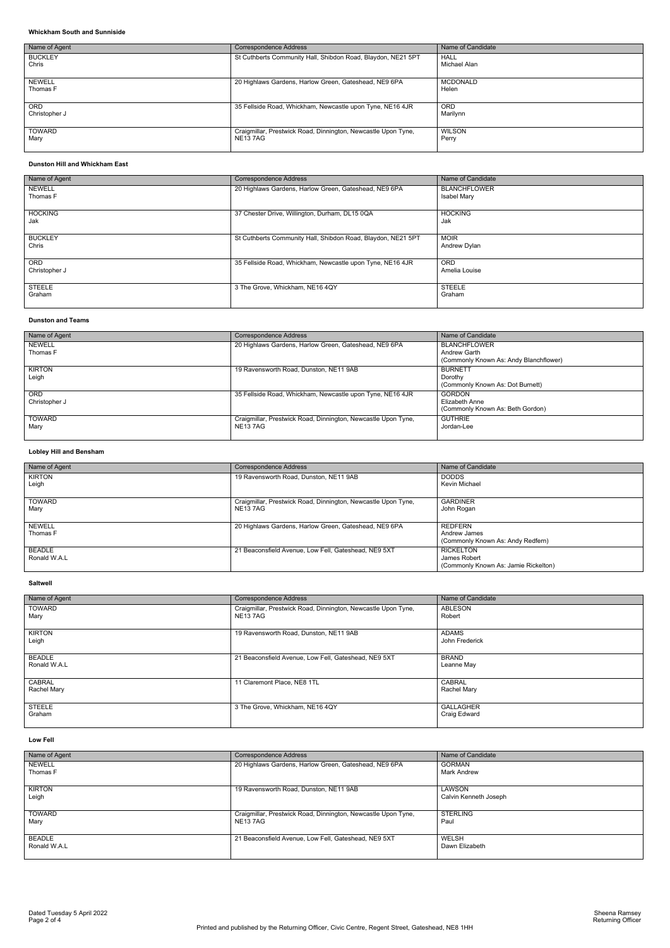Dated Tuesday 5 April 2022 Sheena Ramsey Page 2 of 4 Returning Officer

# **Whickham South and Sunniside**

| Name of Agent               | <b>Correspondence Address</b>                                                   | Name of Candidate           |
|-----------------------------|---------------------------------------------------------------------------------|-----------------------------|
| <b>BUCKLEY</b><br>Chris     | St Cuthberts Community Hall, Shibdon Road, Blaydon, NE21 5PT                    | <b>HALL</b><br>Michael Alan |
| NEWELL<br>Thomas F          | 20 Highlaws Gardens, Harlow Green, Gateshead, NE9 6PA                           | <b>MCDONALD</b><br>Helen    |
| <b>ORD</b><br>Christopher J | 35 Fellside Road, Whickham, Newcastle upon Tyne, NE16 4JR                       | <b>ORD</b><br>Marilynn      |
| TOWARD<br>Mary              | Craigmillar, Prestwick Road, Dinnington, Newcastle Upon Tyne,<br><b>NE137AG</b> | <b>WILSON</b><br>Perry      |

## **Dunston Hill and Whickham East**

| Name of Agent               | <b>Correspondence Address</b>                                | Name of Candidate                  |
|-----------------------------|--------------------------------------------------------------|------------------------------------|
| <b>NEWELL</b><br>Thomas F   | 20 Highlaws Gardens, Harlow Green, Gateshead, NE9 6PA        | <b>BLANCHFLOWER</b><br>Isabel Mary |
| <b>HOCKING</b><br>Jak       | 37 Chester Drive, Willington, Durham, DL15 0QA               | <b>HOCKING</b><br>Jak              |
| <b>BUCKLEY</b><br>Chris     | St Cuthberts Community Hall, Shibdon Road, Blaydon, NE21 5PT | <b>MOIR</b><br>Andrew Dylan        |
| <b>ORD</b><br>Christopher J | 35 Fellside Road, Whickham, Newcastle upon Tyne, NE16 4JR    | <b>ORD</b><br>Amelia Louise        |
| <b>STEELE</b><br>Graham     | 3 The Grove, Whickham, NE16 4QY                              | <b>STEELE</b><br>Graham            |

## **Dunston and Teams**

| Name of Agent             | <b>Correspondence Address</b>                                             | Name of Candidate                                                             |
|---------------------------|---------------------------------------------------------------------------|-------------------------------------------------------------------------------|
| <b>NEWELL</b><br>Thomas F | 20 Highlaws Gardens, Harlow Green, Gateshead, NE9 6PA                     | <b>BLANCHFLOWER</b><br>Andrew Garth<br>(Commonly Known As: Andy Blanchflower) |
| <b>KIRTON</b><br>Leigh    | 19 Ravensworth Road, Dunston, NE11 9AB                                    | <b>BURNETT</b><br>Dorothy<br>(Commonly Known As: Dot Burnett)                 |
| ORD.<br>Christopher J     | 35 Fellside Road, Whickham, Newcastle upon Tyne, NE16 4JR                 | <b>GORDON</b><br>Elizabeth Anne<br>(Commonly Known As: Beth Gordon)           |
| <b>TOWARD</b><br>Mary     | Craigmillar, Prestwick Road, Dinnington, Newcastle Upon Tyne,<br>NE13 7AG | <b>GUTHRIE</b><br>Jordan-Lee                                                  |

# **Lobley Hill and Bensham**

| Name of Agent             | Correspondence Address                                                    | Name of Candidate                                                        |
|---------------------------|---------------------------------------------------------------------------|--------------------------------------------------------------------------|
| KIRTON<br>Leigh           | 19 Ravensworth Road, Dunston, NE11 9AB                                    | <b>DODDS</b><br>Kevin Michael                                            |
| <b>TOWARD</b><br>Mary     | Craigmillar, Prestwick Road, Dinnington, Newcastle Upon Tyne,<br>NE13 7AG | <b>GARDINER</b><br>John Rogan                                            |
| <b>NEWELL</b><br>Thomas F | 20 Highlaws Gardens, Harlow Green, Gateshead, NE9 6PA                     | <b>REDFERN</b><br>Andrew James<br>(Commonly Known As: Andy Redfern)      |
| BEADLE<br>Ronald W.A.L    | 21 Beaconsfield Avenue, Low Fell, Gateshead, NE9 5XT                      | <b>RICKELTON</b><br>James Robert<br>(Commonly Known As: Jamie Rickelton) |

## **Saltwell**

| Name of Agent                 | <b>Correspondence Address</b>                                                   | Name of Candidate                |
|-------------------------------|---------------------------------------------------------------------------------|----------------------------------|
| <b>TOWARD</b><br>Mary         | Craigmillar, Prestwick Road, Dinnington, Newcastle Upon Tyne,<br><b>NE137AG</b> | ABLESON<br>Robert                |
| <b>KIRTON</b><br>Leigh        | 19 Ravensworth Road, Dunston, NE11 9AB                                          | <b>ADAMS</b><br>John Frederick   |
| <b>BEADLE</b><br>Ronald W.A.L | 21 Beaconsfield Avenue, Low Fell, Gateshead, NE9 5XT                            | <b>BRAND</b><br>Leanne May       |
| CABRAL<br>Rachel Mary         | 11 Claremont Place, NE8 1TL                                                     | <b>CABRAL</b><br>Rachel Mary     |
| <b>STEELE</b><br>Graham       | 3 The Grove, Whickham, NE16 4QY                                                 | <b>GALLAGHER</b><br>Craig Edward |

#### **Low Fell**

| Name of Agent          | <b>Correspondence Address</b>                                 | Name of Candidate               |
|------------------------|---------------------------------------------------------------|---------------------------------|
| <b>NEWELL</b>          | 20 Highlaws Gardens, Harlow Green, Gateshead, NE9 6PA         | <b>GORMAN</b>                   |
| Thomas F               |                                                               | <b>Mark Andrew</b>              |
| <b>KIRTON</b><br>Leigh | 19 Ravensworth Road, Dunston, NE11 9AB                        | LAWSON<br>Calvin Kenneth Joseph |
|                        |                                                               |                                 |
| <b>TOWARD</b>          | Craigmillar, Prestwick Road, Dinnington, Newcastle Upon Tyne, | <b>STERLING</b>                 |
| Mary                   | NE137AG                                                       | Paul                            |
| BEADLE<br>Ronald W.A.L | 21 Beaconsfield Avenue, Low Fell, Gateshead, NE9 5XT          | WELSH<br>Dawn Elizabeth         |
|                        |                                                               |                                 |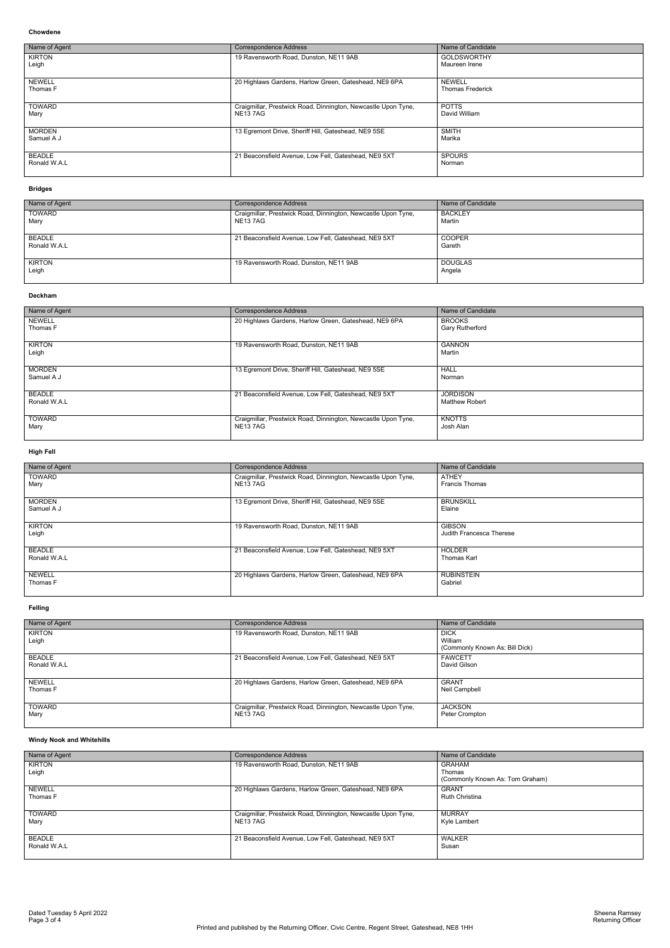Dated Tuesday 5 April 2022 Sheena Ramsey Page 3 of 4 Returning Officer

#### **Chowdene**

| Name of Agent                 | <b>Correspondence Address</b>                                                   | Name of Candidate                        |
|-------------------------------|---------------------------------------------------------------------------------|------------------------------------------|
| <b>KIRTON</b><br>Leigh        | 19 Ravensworth Road, Dunston, NE11 9AB                                          | <b>GOLDSWORTHY</b><br>Maureen Irene      |
| <b>NEWELL</b><br>Thomas F     | 20 Highlaws Gardens, Harlow Green, Gateshead, NE9 6PA                           | <b>NEWELL</b><br><b>Thomas Frederick</b> |
| <b>TOWARD</b><br>Mary         | Craigmillar, Prestwick Road, Dinnington, Newcastle Upon Tyne,<br><b>NE137AG</b> | <b>POTTS</b><br>David William            |
| <b>MORDEN</b><br>Samuel A J   | 13 Egremont Drive, Sheriff Hill, Gateshead, NE9 5SE                             | <b>SMITH</b><br>Marika                   |
| <b>BEADLE</b><br>Ronald W.A.L | 21 Beaconsfield Avenue, Low Fell, Gateshead, NE9 5XT                            | <b>SPOURS</b><br>Norman                  |

## **Bridges**

| Name of Agent          | <b>Correspondence Address</b>                                             | Name of Candidate        |
|------------------------|---------------------------------------------------------------------------|--------------------------|
| <b>TOWARD</b><br>Mary  | Craigmillar, Prestwick Road, Dinnington, Newcastle Upon Tyne,<br>NE13 7AG | <b>BACKLEY</b><br>Martin |
| BEADLE<br>Ronald W.A.L | 21 Beaconsfield Avenue, Low Fell, Gateshead, NE9 5XT                      | <b>COOPER</b><br>Gareth  |
| <b>KIRTON</b><br>Leigh | 19 Ravensworth Road, Dunston, NE11 9AB                                    | <b>DOUGLAS</b><br>Angela |

#### **Deckham**

| Name of Agent                 | <b>Correspondence Address</b>                                                   | Name of Candidate                        |
|-------------------------------|---------------------------------------------------------------------------------|------------------------------------------|
| <b>NEWELL</b><br>Thomas F     | 20 Highlaws Gardens, Harlow Green, Gateshead, NE9 6PA                           | <b>BROOKS</b><br><b>Gary Rutherford</b>  |
| <b>KIRTON</b><br>Leigh        | 19 Ravensworth Road, Dunston, NE11 9AB                                          | <b>GANNON</b><br>Martin                  |
| <b>MORDEN</b><br>Samuel A J   | 13 Egremont Drive, Sheriff Hill, Gateshead, NE9 5SE                             | <b>HALL</b><br>Norman                    |
| <b>BEADLE</b><br>Ronald W.A.L | 21 Beaconsfield Avenue, Low Fell, Gateshead, NE9 5XT                            | <b>JORDISON</b><br><b>Matthew Robert</b> |
| <b>TOWARD</b><br>Mary         | Craigmillar, Prestwick Road, Dinnington, Newcastle Upon Tyne,<br><b>NE137AG</b> | <b>KNOTTS</b><br>Josh Alan               |

# **High Fell**

| Name of Agent                 | <b>Correspondence Address</b>                                                   | Name of Candidate                         |
|-------------------------------|---------------------------------------------------------------------------------|-------------------------------------------|
| <b>TOWARD</b><br>Mary         | Craigmillar, Prestwick Road, Dinnington, Newcastle Upon Tyne,<br><b>NE137AG</b> | <b>ATHEY</b><br><b>Francis Thomas</b>     |
| <b>MORDEN</b><br>Samuel A J   | 13 Egremont Drive, Sheriff Hill, Gateshead, NE9 5SE                             | <b>BRUNSKILL</b><br>Elaine                |
| <b>KIRTON</b><br>Leigh        | 19 Ravensworth Road, Dunston, NE11 9AB                                          | <b>GIBSON</b><br>Judith Francesca Therese |
| <b>BEADLE</b><br>Ronald W.A.L | 21 Beaconsfield Avenue, Low Fell, Gateshead, NE9 5XT                            | <b>HOLDER</b><br><b>Thomas Karl</b>       |
| <b>NEWELL</b><br>Thomas F     | 20 Highlaws Gardens, Harlow Green, Gateshead, NE9 6PA                           | <b>RUBINSTEIN</b><br>Gabriel              |

# **Felling**

| Name of Agent                 | <b>Correspondence Address</b>                                                   | Name of Candidate                                        |
|-------------------------------|---------------------------------------------------------------------------------|----------------------------------------------------------|
| KIRTON<br>Leigh               | 19 Ravensworth Road, Dunston, NE11 9AB                                          | <b>DICK</b><br>William<br>(Commonly Known As: Bill Dick) |
| <b>BEADLE</b><br>Ronald W.A.L | 21 Beaconsfield Avenue, Low Fell, Gateshead, NE9 5XT                            | <b>FAWCETT</b><br>David Gilson                           |
| <b>NEWELL</b><br>Thomas F     | 20 Highlaws Gardens, Harlow Green, Gateshead, NE9 6PA                           | <b>GRANT</b><br>Neil Campbell                            |
| TOWARD<br>Mary                | Craigmillar, Prestwick Road, Dinnington, Newcastle Upon Tyne,<br><b>NE137AG</b> | <b>JACKSON</b><br>Peter Crompton                         |

# **Windy Nook and Whitehills**

| Name of Agent                 | <b>Correspondence Address</b>                                                   | Name of Candidate                                          |
|-------------------------------|---------------------------------------------------------------------------------|------------------------------------------------------------|
| <b>KIRTON</b><br>Leigh        | 19 Ravensworth Road, Dunston, NE11 9AB                                          | <b>GRAHAM</b><br>Thomas<br>(Commonly Known As: Tom Graham) |
| <b>NEWELL</b><br>Thomas F     | 20 Highlaws Gardens, Harlow Green, Gateshead, NE9 6PA                           | <b>GRANT</b><br><b>Ruth Christina</b>                      |
| <b>TOWARD</b><br>Mary         | Craigmillar, Prestwick Road, Dinnington, Newcastle Upon Tyne,<br><b>NE137AG</b> | <b>MURRAY</b><br>Kyle Lambert                              |
| <b>BEADLE</b><br>Ronald W.A.L | 21 Beaconsfield Avenue, Low Fell, Gateshead, NE9 5XT                            | <b>WALKER</b><br>Susan                                     |